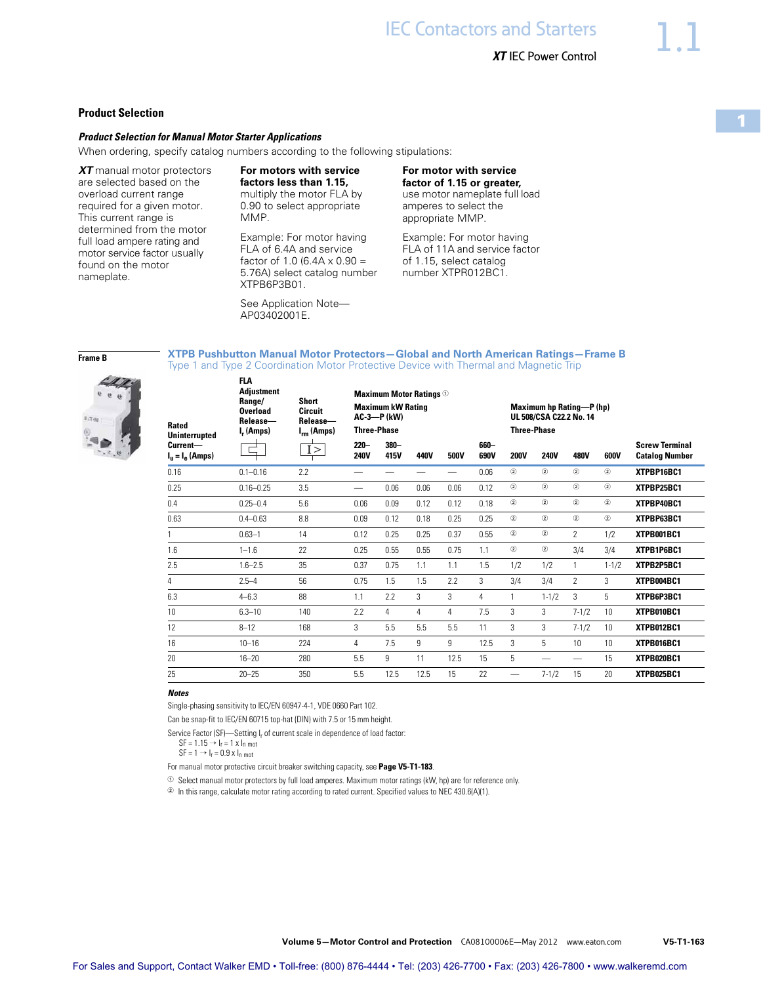## **Product Selection**

### *Product Selection for Manual Motor Starter Applications*

When ordering, specify catalog numbers according to the following stipulations:

*XT* manual motor protectors are selected based on the overload current range required for a given motor. This current range is determined from the motor full load ampere rating and motor service factor usually found on the motor nameplate.

**For motors with service factors less than 1.15,**  multiply the motor FLA by 0.90 to select appropriate MMP.

Example: For motor having FLA of 6.4A and service factor of 1.0 (6.4A  $\times$  0.90 = 5.76A) select catalog number XTPB6P3B01.

See Application Note— AP03402001E.

**For motor with service factor of 1.15 or greater,**  use motor nameplate full load amperes to select the appropriate MMP.

Example: For motor having FLA of 11A and service factor of 1.15, select catalog number XTPR012BC1.

**Frame B**



### **XTPB Pushbutton Manual Motor Protectors—Global and North American Ratings—Frame B** Type 1 and Type 2 Coordination Motor Protective Device with Thermal and Magnetic Trip

| Rated<br><b>Uninterrupted</b>              | <b>FLA</b><br><b>Adjustment</b><br>Range/<br><b>Overload</b><br>Release-<br>$I_r$ (Amps) | Short<br>Circuit<br>Release-<br>$I_{rm}(Amps)$<br>I > | <b>Three-Phase</b>     | <b>Maximum Motor Ratings</b> <sup>1</sup><br><b>Maximum kW Rating</b><br><b>AC-3-P (kW)</b> |      |      |              |                          | <b>Maximum hp Rating-P (hp)</b><br>UL 508/CSA C22.2 No. 14<br><b>Three-Phase</b> |                |           |                                                |
|--------------------------------------------|------------------------------------------------------------------------------------------|-------------------------------------------------------|------------------------|---------------------------------------------------------------------------------------------|------|------|--------------|--------------------------|----------------------------------------------------------------------------------|----------------|-----------|------------------------------------------------|
| Current-<br>$I_{\rm u} = I_{\rm e}$ (Amps) |                                                                                          |                                                       | $220 -$<br><b>240V</b> | $380 -$<br>415V                                                                             | 440V | 500V | 660-<br>690V | <b>200V</b>              | <b>240V</b>                                                                      | 480V           | 600V      | <b>Screw Terminal</b><br><b>Catalog Number</b> |
| 0.16                                       | $0.1 - 0.16$                                                                             | 2.2                                                   |                        |                                                                                             |      |      | 0.06         | (2)                      | (2)                                                                              | (2)            | (2)       | XTPBP16BC1                                     |
| 0.25                                       | $0.16 - 0.25$                                                                            | 3.5                                                   |                        | 0.06                                                                                        | 0.06 | 0.06 | 0.12         | (2)                      | (2)                                                                              | (2)            | (2)       | XTPBP25BC1                                     |
| 0.4                                        | $0.25 - 0.4$                                                                             | 5.6                                                   | 0.06                   | 0.09                                                                                        | 0.12 | 0.12 | 0.18         | (2)                      | (2)                                                                              | (2)            | (2)       | XTPBP40BC1                                     |
| 0.63                                       | $0.4 - 0.63$                                                                             | 8.8                                                   | 0.09                   | 0.12                                                                                        | 0.18 | 0.25 | 0.25         | (2)                      | (2)                                                                              | (2)            | (2)       | XTPBP63BC1                                     |
|                                            | $0.63 - 1$                                                                               | 14                                                    | 0.12                   | 0.25                                                                                        | 0.25 | 0.37 | 0.55         | (2)                      | (2)                                                                              | $\overline{2}$ | 1/2       | XTPB001BC1                                     |
| 1.6                                        | $1 - 1.6$                                                                                | 22                                                    | 0.25                   | 0.55                                                                                        | 0.55 | 0.75 | 1.1          | $\circled{2}$            | $\circled{2}$                                                                    | 3/4            | 3/4       | XTPB1P6BC1                                     |
| 2.5                                        | $1.6 - 2.5$                                                                              | 35                                                    | 0.37                   | 0.75                                                                                        | 1.1  | 1.1  | 1.5          | 1/2                      | 1/2                                                                              |                | $1 - 1/2$ | XTPB2P5BC1                                     |
| 4                                          | $2.5 - 4$                                                                                | 56                                                    | 0.75                   | 1.5                                                                                         | 1.5  | 2.2  | 3            | 3/4                      | 3/4                                                                              | $\mathfrak{p}$ | 3         | XTPB004BC1                                     |
| 6.3                                        | $4 - 6.3$                                                                                | 88                                                    | 1.1                    | 2.2                                                                                         | 3    | 3    | 4            | 1                        | $1 - 1/2$                                                                        | 3              | 5         | XTPB6P3BC1                                     |
| 10                                         | $6.3 - 10$                                                                               | 140                                                   | 7.7                    | 4                                                                                           | 4    | 4    | 7.5          | 3                        | 3                                                                                | $7 - 1/2$      | 10        | XTPB010BC1                                     |
| 12                                         | $8 - 12$                                                                                 | 168                                                   | 3                      | 5.5                                                                                         | 5.5  | 5.5  | 11           | 3                        | 3                                                                                | $7 - 1/2$      | 10        | XTPB012BC1                                     |
| 16                                         | $10 - 16$                                                                                | 224                                                   | 4                      | 7.5                                                                                         | 9    | 9    | 12.5         | 3                        | 5                                                                                | 10             | 10        | XTPB016BC1                                     |
| 20                                         | $16 - 20$                                                                                | 280                                                   | 5.5                    | 9                                                                                           | 11   | 12.5 | 15           | 5                        |                                                                                  |                | 15        | XTPB020BC1                                     |
| 25                                         | $20 - 25$                                                                                | 350                                                   | 5.5                    | 12.5                                                                                        | 12.5 | 15   | 22           | $\overline{\phantom{0}}$ | $7 - 1/2$                                                                        | 15             | 20        | XTPB025BC1                                     |

#### *Notes*

Single-phasing sensitivity to IEC/EN 60947-4-1, VDE 0660 Part 102.

Can be snap-fit to IEC/EN 60715 top-hat (DIN) with 7.5 or 15 mm height.

Service Factor (SF)—Setting I<sub>r</sub> of current scale in dependence of load factor:

 $SF = 1.15 \rightarrow I_r = 1 x I_n$  mot

 $SF = 1 \rightarrow I_r = 0.9 \times I_n$  mot

For manual motor protective circuit breaker switching capacity, see **Page V5-T1-183**.

<sup>1</sup> Select manual motor protectors by full load amperes. Maximum motor ratings (kW, hp) are for reference only.

 $2$  In this range, calculate motor rating according to rated current. Specified values to NEC 430.6(A)(1).